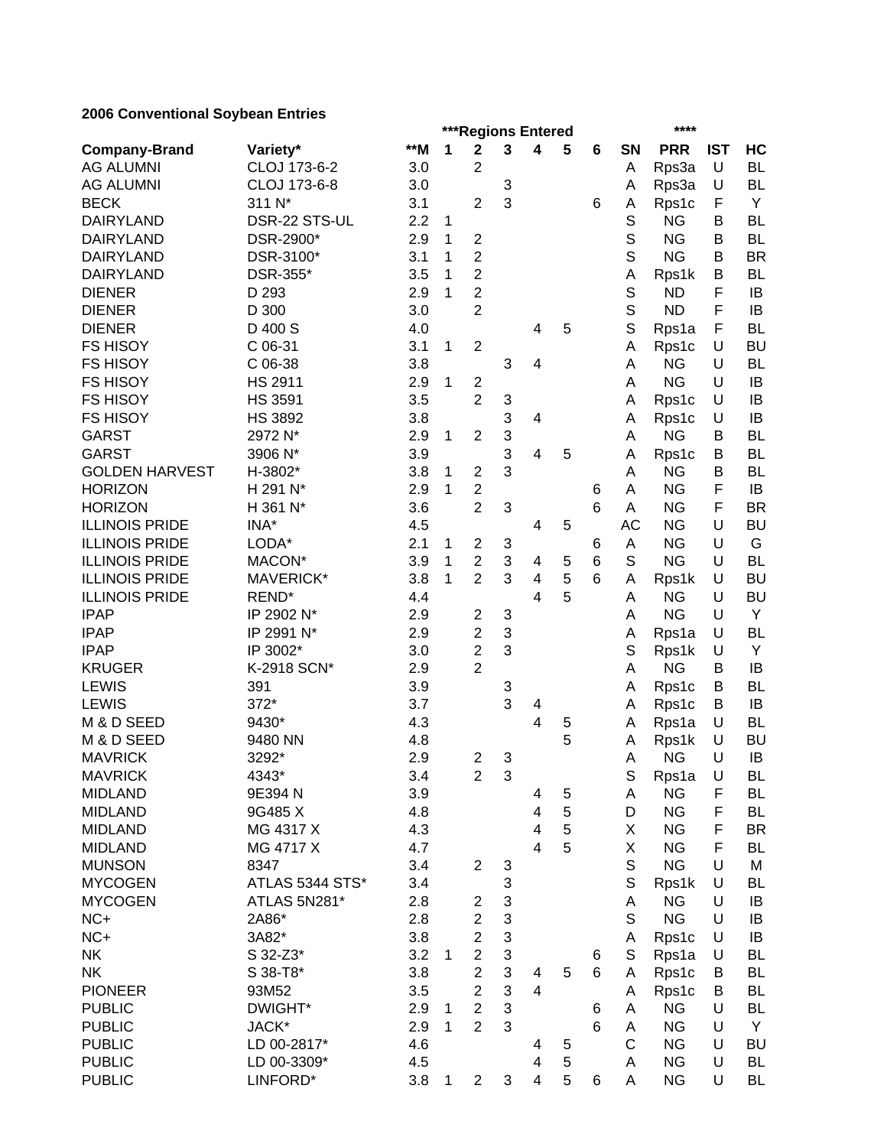## **2006 Conventional Soybean Entries**

|                       |                  |     | ***Regions Entered |                         |                           |                         |   |   |             | ****       |            |           |  |
|-----------------------|------------------|-----|--------------------|-------------------------|---------------------------|-------------------------|---|---|-------------|------------|------------|-----------|--|
| <b>Company-Brand</b>  | Variety*         | **M | 1                  | $\mathbf 2$             | 3                         | 4                       | 5 | 6 | SN          | <b>PRR</b> | <b>IST</b> | HC        |  |
| <b>AG ALUMNI</b>      | CLOJ 173-6-2     | 3.0 |                    | 2                       |                           |                         |   |   | A           | Rps3a      | U          | <b>BL</b> |  |
| <b>AG ALUMNI</b>      | CLOJ 173-6-8     | 3.0 |                    |                         | 3                         |                         |   |   | Α           | Rps3a      | U          | <b>BL</b> |  |
| <b>BECK</b>           | 311 N*           | 3.1 |                    | $\overline{2}$          | 3                         |                         |   | 6 | Α           | Rps1c      | F          | Y         |  |
| <b>DAIRYLAND</b>      | DSR-22 STS-UL    | 2.2 | 1                  |                         |                           |                         |   |   | S           | <b>NG</b>  | B          | <b>BL</b> |  |
| <b>DAIRYLAND</b>      | DSR-2900*        | 2.9 | 1                  | $\overline{2}$          |                           |                         |   |   | S           | <b>NG</b>  | B          | <b>BL</b> |  |
| <b>DAIRYLAND</b>      | DSR-3100*        | 3.1 | 1                  | $\overline{2}$          |                           |                         |   |   | S           | <b>NG</b>  | B          | <b>BR</b> |  |
| <b>DAIRYLAND</b>      | DSR-355*         | 3.5 | 1                  | $\overline{2}$          |                           |                         |   |   | A           | Rps1k      | B          | <b>BL</b> |  |
| <b>DIENER</b>         | D 293            | 2.9 | 1                  | $\overline{2}$          |                           |                         |   |   | S           | <b>ND</b>  | F          | IB        |  |
| <b>DIENER</b>         | D 300            | 3.0 |                    | $\overline{2}$          |                           |                         |   |   | S           | <b>ND</b>  | F          | IB        |  |
| <b>DIENER</b>         | D 400 S          | 4.0 |                    |                         |                           | 4                       | 5 |   | S           | Rps1a      | F          | <b>BL</b> |  |
| <b>FS HISOY</b>       | C 06-31          | 3.1 | 1                  | $\overline{2}$          |                           |                         |   |   | A           | Rps1c      | U          | <b>BU</b> |  |
| <b>FS HISOY</b>       | C 06-38          | 3.8 |                    |                         | 3                         | 4                       |   |   | Α           | <b>NG</b>  | U          | <b>BL</b> |  |
| <b>FS HISOY</b>       | <b>HS 2911</b>   | 2.9 | 1                  | $\overline{2}$          |                           |                         |   |   | Α           | <b>NG</b>  | U          | IB        |  |
| <b>FS HISOY</b>       | <b>HS 3591</b>   | 3.5 |                    | $\overline{2}$          | 3                         |                         |   |   | A           | Rps1c      | U          | IB        |  |
| <b>FS HISOY</b>       | <b>HS 3892</b>   | 3.8 |                    |                         | 3                         | 4                       |   |   | Α           | Rps1c      | U          | IB        |  |
| <b>GARST</b>          | 2972 N*          | 2.9 | 1                  | $\overline{2}$          | 3                         |                         |   |   | A           | <b>NG</b>  | В          | <b>BL</b> |  |
| <b>GARST</b>          | 3906 N*          | 3.9 |                    |                         | 3                         | 4                       | 5 |   | A           | Rps1c      | В          | <b>BL</b> |  |
| <b>GOLDEN HARVEST</b> | H-3802*          | 3.8 | 1                  | $\overline{2}$          | 3                         |                         |   |   | A           | <b>NG</b>  | В          | <b>BL</b> |  |
| <b>HORIZON</b>        | H 291 N*         | 2.9 | 1                  | $\overline{2}$          |                           |                         |   | 6 | Α           | <b>NG</b>  | F          | IB        |  |
| <b>HORIZON</b>        | H 361 N*         | 3.6 |                    | $\overline{2}$          | 3                         |                         |   | 6 | A           | <b>NG</b>  | F          | <b>BR</b> |  |
| <b>ILLINOIS PRIDE</b> | INA*             | 4.5 |                    |                         |                           | 4                       | 5 |   | <b>AC</b>   | <b>NG</b>  | U          | <b>BU</b> |  |
| <b>ILLINOIS PRIDE</b> | LODA*            | 2.1 | 1                  | $\overline{2}$          | 3                         |                         |   | 6 | A           | <b>NG</b>  | U          | G         |  |
| <b>ILLINOIS PRIDE</b> | MACON*           | 3.9 | 1                  | $\overline{2}$          | 3                         | 4                       | 5 | 6 | S           | <b>NG</b>  | U          | <b>BL</b> |  |
| <b>ILLINOIS PRIDE</b> | <b>MAVERICK*</b> | 3.8 | 1                  | $\overline{2}$          | 3                         | 4                       | 5 | 6 | A           | Rps1k      | U          | <b>BU</b> |  |
| <b>ILLINOIS PRIDE</b> | REND*            | 4.4 |                    |                         |                           | 4                       | 5 |   | A           | <b>NG</b>  | U          | <b>BU</b> |  |
| <b>IPAP</b>           | IP 2902 N*       | 2.9 |                    | $\overline{2}$          | 3                         |                         |   |   | A           | <b>NG</b>  | U          | Y         |  |
| <b>IPAP</b>           | IP 2991 N*       | 2.9 |                    | $\overline{2}$          | 3                         |                         |   |   | Α           | Rps1a      | U          | <b>BL</b> |  |
| <b>IPAP</b>           | IP 3002*         | 3.0 |                    | $\overline{2}$          | 3                         |                         |   |   | S           | Rps1k      | U          | Y         |  |
| <b>KRUGER</b>         | K-2918 SCN*      | 2.9 |                    | $\overline{2}$          |                           |                         |   |   | Α           | <b>NG</b>  | В          | IB        |  |
| <b>LEWIS</b>          | 391              | 3.9 |                    |                         | 3                         |                         |   |   | Α           | Rps1c      | В          | <b>BL</b> |  |
| <b>LEWIS</b>          | 372*             | 3.7 |                    |                         | 3                         | 4                       |   |   | Α           | Rps1c      | В          | IB        |  |
| M & D SEED            | 9430*            | 4.3 |                    |                         |                           | 4                       | 5 |   | A           | Rps1a      | U          | <b>BL</b> |  |
| M & D SEED            | 9480 NN          | 4.8 |                    |                         |                           |                         | 5 |   | A           | Rps1k      | U          | BU        |  |
| <b>MAVRICK</b>        | 3292*            | 2.9 |                    | $\overline{2}$          | 3                         |                         |   |   | A           | <b>NG</b>  | U          | IB        |  |
| <b>MAVRICK</b>        | 4343*            | 3.4 |                    | $\overline{c}$          | $\ensuremath{\mathsf{3}}$ |                         |   |   | $\mathbb S$ | Rps1a      | U          | BL        |  |
| <b>MIDLAND</b>        | 9E394 N          | 3.9 |                    |                         |                           | 4                       | 5 |   | Α           | <b>NG</b>  | F          | BL        |  |
| <b>MIDLAND</b>        | 9G485 X          | 4.8 |                    |                         |                           | 4                       | 5 |   | D           | <b>NG</b>  | F          | BL        |  |
| <b>MIDLAND</b>        | MG 4317 X        | 4.3 |                    |                         |                           | 4                       | 5 |   | Χ           | <b>NG</b>  | F          | <b>BR</b> |  |
| <b>MIDLAND</b>        | MG 4717 X        | 4.7 |                    |                         |                           | 4                       | 5 |   | Χ           | <b>NG</b>  | F          | <b>BL</b> |  |
| <b>MUNSON</b>         | 8347             | 3.4 |                    | $\overline{2}$          | 3                         |                         |   |   | $\mathbb S$ | <b>NG</b>  | U          | M         |  |
| <b>MYCOGEN</b>        | ATLAS 5344 STS*  | 3.4 |                    |                         | 3                         |                         |   |   | $\mathbb S$ | Rps1k      | U          | <b>BL</b> |  |
| <b>MYCOGEN</b>        | ATLAS 5N281*     | 2.8 |                    | $\overline{\mathbf{c}}$ | $\mathfrak{S}$            |                         |   |   | Α           | <b>NG</b>  | U          | IB        |  |
| $NC+$                 | 2A86*            | 2.8 |                    | $\overline{c}$          | 3                         |                         |   |   | $\mathbb S$ | <b>NG</b>  | U          | IB        |  |
| $NC+$                 | 3A82*            | 3.8 |                    | $\overline{c}$          | 3                         |                         |   |   | Α           | Rps1c      | U          | IB        |  |
| <b>NK</b>             | S 32-Z3*         | 3.2 | $\mathbf{1}$       | $\overline{2}$          | $\mathbf{3}$              |                         |   | 6 | $\mathbb S$ | Rps1a      | U          | BL        |  |
| <b>NK</b>             | S 38-T8*         | 3.8 |                    | $\overline{c}$          | 3                         | 4                       | 5 | 6 | Α           | Rps1c      | В          | <b>BL</b> |  |
| <b>PIONEER</b>        | 93M52            | 3.5 |                    | $\overline{2}$          | 3                         | $\overline{\mathbf{4}}$ |   |   | Α           | Rps1c      | В          | BL        |  |
| <b>PUBLIC</b>         | DWIGHT*          | 2.9 | 1                  | $\overline{2}$          | 3                         |                         |   | 6 | A           | <b>NG</b>  | U          | BL        |  |
| <b>PUBLIC</b>         | JACK*            | 2.9 | 1                  | $\overline{2}$          | 3                         |                         |   | 6 | Α           | <b>NG</b>  | U          | Y         |  |
| <b>PUBLIC</b>         | LD 00-2817*      | 4.6 |                    |                         |                           | 4                       | 5 |   | C           | <b>NG</b>  | U          | <b>BU</b> |  |
| <b>PUBLIC</b>         | LD 00-3309*      | 4.5 |                    |                         |                           | 4                       | 5 |   | Α           | <b>NG</b>  | U          | BL        |  |
| <b>PUBLIC</b>         | LINFORD*         | 3.8 | 1                  | $\overline{\mathbf{c}}$ | 3                         | $\overline{\mathbf{4}}$ | 5 | 6 | A           | <b>NG</b>  | U          | BL        |  |
|                       |                  |     |                    |                         |                           |                         |   |   |             |            |            |           |  |